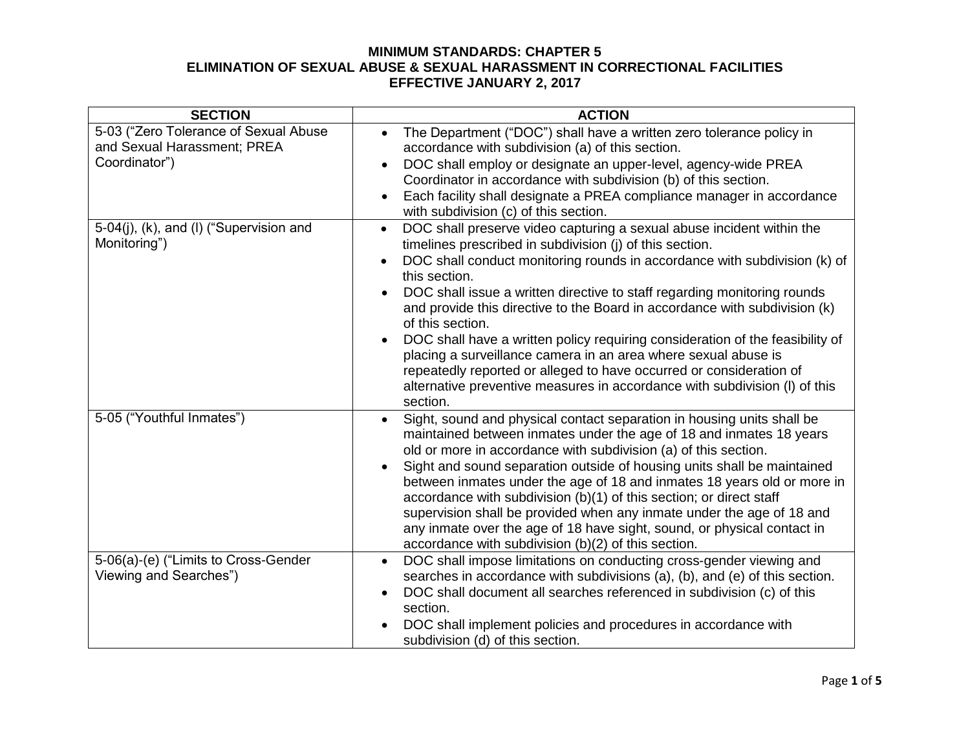| <b>SECTION</b>                                                                        | <b>ACTION</b>                                                                                                                                                                                                                                                                                                                                                                                                                                                                                                                                                                                                                                                                                                                                  |
|---------------------------------------------------------------------------------------|------------------------------------------------------------------------------------------------------------------------------------------------------------------------------------------------------------------------------------------------------------------------------------------------------------------------------------------------------------------------------------------------------------------------------------------------------------------------------------------------------------------------------------------------------------------------------------------------------------------------------------------------------------------------------------------------------------------------------------------------|
| 5-03 ("Zero Tolerance of Sexual Abuse<br>and Sexual Harassment; PREA<br>Coordinator") | The Department ("DOC") shall have a written zero tolerance policy in<br>$\bullet$<br>accordance with subdivision (a) of this section.<br>DOC shall employ or designate an upper-level, agency-wide PREA<br>$\bullet$<br>Coordinator in accordance with subdivision (b) of this section.<br>Each facility shall designate a PREA compliance manager in accordance<br>$\bullet$<br>with subdivision (c) of this section.                                                                                                                                                                                                                                                                                                                         |
| 5-04(j), (k), and (l) ("Supervision and<br>Monitoring")                               | DOC shall preserve video capturing a sexual abuse incident within the<br>$\bullet$<br>timelines prescribed in subdivision (j) of this section.<br>DOC shall conduct monitoring rounds in accordance with subdivision (k) of<br>this section.<br>DOC shall issue a written directive to staff regarding monitoring rounds<br>and provide this directive to the Board in accordance with subdivision (k)<br>of this section.<br>DOC shall have a written policy requiring consideration of the feasibility of<br>placing a surveillance camera in an area where sexual abuse is<br>repeatedly reported or alleged to have occurred or consideration of<br>alternative preventive measures in accordance with subdivision (I) of this<br>section. |
| 5-05 ("Youthful Inmates")                                                             | Sight, sound and physical contact separation in housing units shall be<br>$\bullet$<br>maintained between inmates under the age of 18 and inmates 18 years<br>old or more in accordance with subdivision (a) of this section.<br>Sight and sound separation outside of housing units shall be maintained<br>between inmates under the age of 18 and inmates 18 years old or more in<br>accordance with subdivision (b)(1) of this section; or direct staff<br>supervision shall be provided when any inmate under the age of 18 and<br>any inmate over the age of 18 have sight, sound, or physical contact in<br>accordance with subdivision $(b)(2)$ of this section.                                                                        |
| 5-06(a)-(e) ("Limits to Cross-Gender<br>Viewing and Searches")                        | DOC shall impose limitations on conducting cross-gender viewing and<br>$\bullet$<br>searches in accordance with subdivisions (a), (b), and (e) of this section.<br>DOC shall document all searches referenced in subdivision (c) of this<br>section.<br>DOC shall implement policies and procedures in accordance with<br>subdivision (d) of this section.                                                                                                                                                                                                                                                                                                                                                                                     |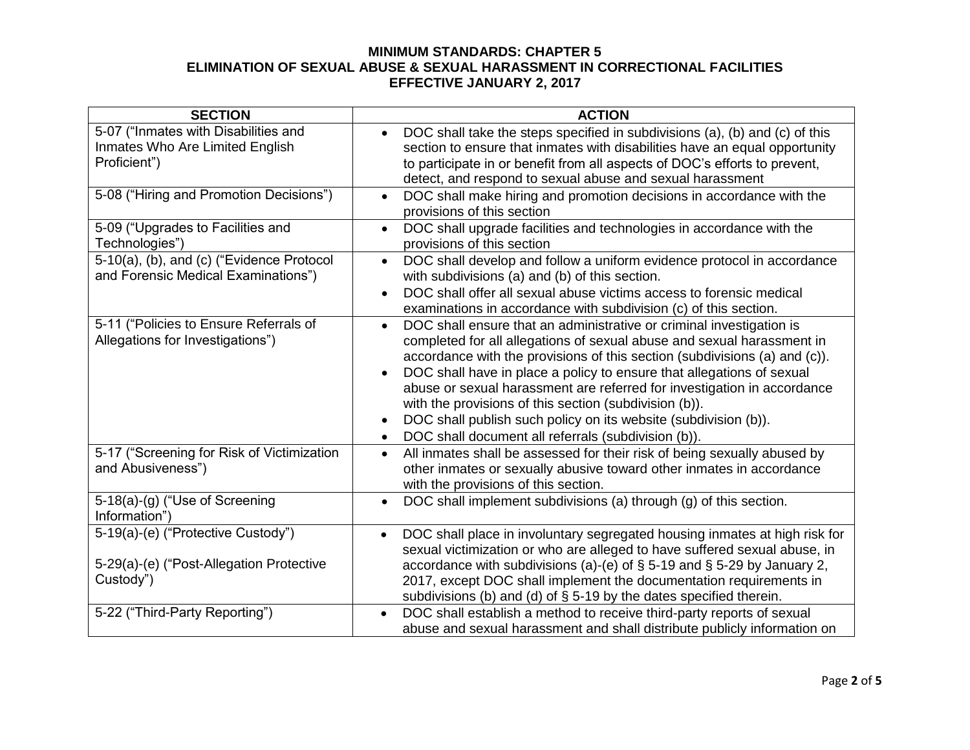| <b>SECTION</b>                                                                              | <b>ACTION</b>                                                                                                                                                                                                                                                                                                                                                                                                                                                                                                                                                                                  |
|---------------------------------------------------------------------------------------------|------------------------------------------------------------------------------------------------------------------------------------------------------------------------------------------------------------------------------------------------------------------------------------------------------------------------------------------------------------------------------------------------------------------------------------------------------------------------------------------------------------------------------------------------------------------------------------------------|
| 5-07 ("Inmates with Disabilities and<br>Inmates Who Are Limited English<br>Proficient")     | DOC shall take the steps specified in subdivisions (a), (b) and (c) of this<br>section to ensure that inmates with disabilities have an equal opportunity<br>to participate in or benefit from all aspects of DOC's efforts to prevent,<br>detect, and respond to sexual abuse and sexual harassment                                                                                                                                                                                                                                                                                           |
| 5-08 ("Hiring and Promotion Decisions")                                                     | DOC shall make hiring and promotion decisions in accordance with the<br>$\bullet$<br>provisions of this section                                                                                                                                                                                                                                                                                                                                                                                                                                                                                |
| 5-09 ("Upgrades to Facilities and<br>Technologies")                                         | DOC shall upgrade facilities and technologies in accordance with the<br>$\bullet$<br>provisions of this section                                                                                                                                                                                                                                                                                                                                                                                                                                                                                |
| 5-10(a), (b), and (c) ("Evidence Protocol<br>and Forensic Medical Examinations")            | DOC shall develop and follow a uniform evidence protocol in accordance<br>$\bullet$<br>with subdivisions (a) and (b) of this section.<br>DOC shall offer all sexual abuse victims access to forensic medical<br>$\bullet$<br>examinations in accordance with subdivision (c) of this section.                                                                                                                                                                                                                                                                                                  |
| 5-11 ("Policies to Ensure Referrals of<br>Allegations for Investigations")                  | DOC shall ensure that an administrative or criminal investigation is<br>$\bullet$<br>completed for all allegations of sexual abuse and sexual harassment in<br>accordance with the provisions of this section (subdivisions (a) and (c)).<br>DOC shall have in place a policy to ensure that allegations of sexual<br>abuse or sexual harassment are referred for investigation in accordance<br>with the provisions of this section (subdivision (b)).<br>DOC shall publish such policy on its website (subdivision (b)).<br>DOC shall document all referrals (subdivision (b)).<br>$\bullet$ |
| 5-17 ("Screening for Risk of Victimization<br>and Abusiveness")                             | All inmates shall be assessed for their risk of being sexually abused by<br>$\bullet$<br>other inmates or sexually abusive toward other inmates in accordance<br>with the provisions of this section.                                                                                                                                                                                                                                                                                                                                                                                          |
| 5-18(a)-(g) ("Use of Screening<br>Information")                                             | DOC shall implement subdivisions (a) through (g) of this section.<br>$\bullet$                                                                                                                                                                                                                                                                                                                                                                                                                                                                                                                 |
| 5-19(a)-(e) ("Protective Custody")<br>5-29(a)-(e) ("Post-Allegation Protective<br>Custody") | DOC shall place in involuntary segregated housing inmates at high risk for<br>$\bullet$<br>sexual victimization or who are alleged to have suffered sexual abuse, in<br>accordance with subdivisions (a)-(e) of $\S$ 5-19 and $\S$ 5-29 by January 2,<br>2017, except DOC shall implement the documentation requirements in<br>subdivisions (b) and (d) of $\S$ 5-19 by the dates specified therein.                                                                                                                                                                                           |
| 5-22 ("Third-Party Reporting")                                                              | DOC shall establish a method to receive third-party reports of sexual<br>$\bullet$<br>abuse and sexual harassment and shall distribute publicly information on                                                                                                                                                                                                                                                                                                                                                                                                                                 |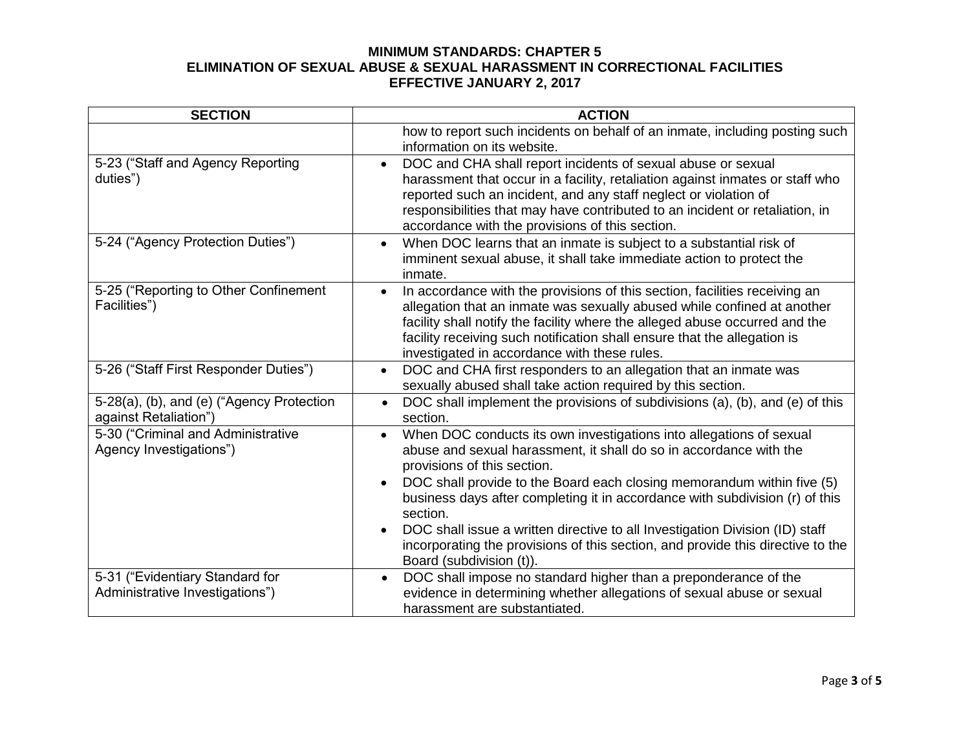| <b>SECTION</b>                                                     | <b>ACTION</b>                                                                                                                                                                                                                                                                                                                                                                 |
|--------------------------------------------------------------------|-------------------------------------------------------------------------------------------------------------------------------------------------------------------------------------------------------------------------------------------------------------------------------------------------------------------------------------------------------------------------------|
|                                                                    | how to report such incidents on behalf of an inmate, including posting such<br>information on its website.                                                                                                                                                                                                                                                                    |
| 5-23 ("Staff and Agency Reporting<br>duties")                      | DOC and CHA shall report incidents of sexual abuse or sexual<br>$\bullet$<br>harassment that occur in a facility, retaliation against inmates or staff who<br>reported such an incident, and any staff neglect or violation of<br>responsibilities that may have contributed to an incident or retaliation, in<br>accordance with the provisions of this section.             |
| 5-24 ("Agency Protection Duties")                                  | When DOC learns that an inmate is subject to a substantial risk of<br>$\bullet$<br>imminent sexual abuse, it shall take immediate action to protect the<br>inmate.                                                                                                                                                                                                            |
| 5-25 ("Reporting to Other Confinement<br>Facilities")              | In accordance with the provisions of this section, facilities receiving an<br>$\bullet$<br>allegation that an inmate was sexually abused while confined at another<br>facility shall notify the facility where the alleged abuse occurred and the<br>facility receiving such notification shall ensure that the allegation is<br>investigated in accordance with these rules. |
| 5-26 ("Staff First Responder Duties")                              | DOC and CHA first responders to an allegation that an inmate was<br>$\bullet$<br>sexually abused shall take action required by this section.                                                                                                                                                                                                                                  |
| 5-28(a), (b), and (e) ("Agency Protection<br>against Retaliation") | DOC shall implement the provisions of subdivisions (a), (b), and (e) of this<br>$\bullet$<br>section.                                                                                                                                                                                                                                                                         |
| 5-30 ("Criminal and Administrative<br>Agency Investigations")      | When DOC conducts its own investigations into allegations of sexual<br>$\bullet$<br>abuse and sexual harassment, it shall do so in accordance with the<br>provisions of this section.                                                                                                                                                                                         |
|                                                                    | DOC shall provide to the Board each closing memorandum within five (5)<br>business days after completing it in accordance with subdivision (r) of this<br>section.                                                                                                                                                                                                            |
|                                                                    | DOC shall issue a written directive to all Investigation Division (ID) staff<br>incorporating the provisions of this section, and provide this directive to the<br>Board (subdivision (t)).                                                                                                                                                                                   |
| 5-31 ("Evidentiary Standard for<br>Administrative Investigations") | DOC shall impose no standard higher than a preponderance of the<br>evidence in determining whether allegations of sexual abuse or sexual<br>harassment are substantiated.                                                                                                                                                                                                     |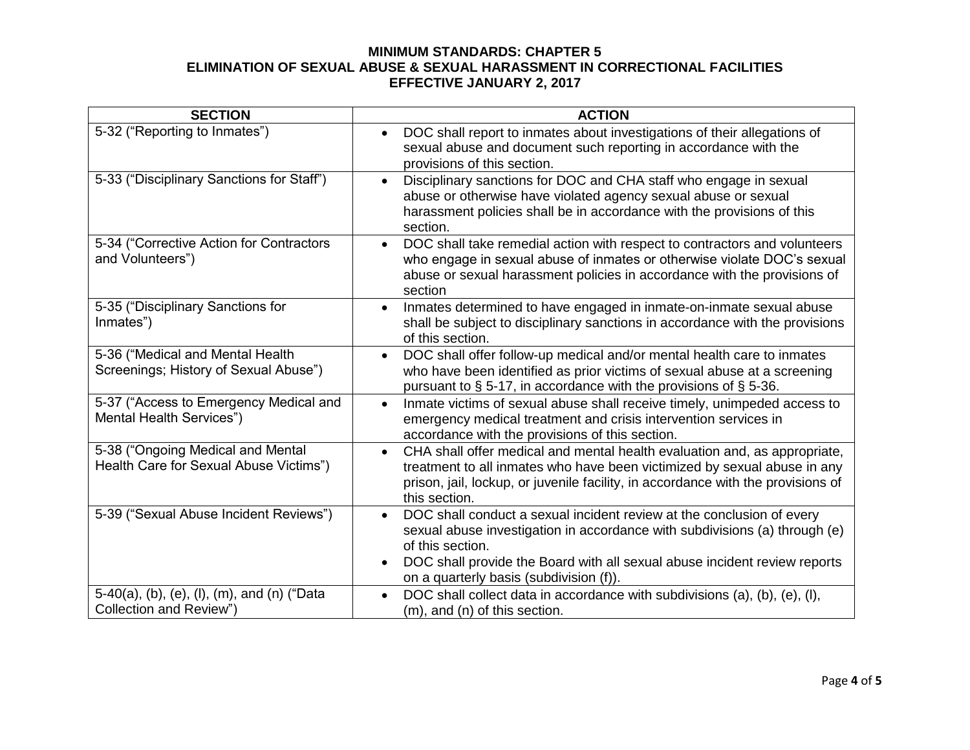| <b>SECTION</b>                                                              | <b>ACTION</b>                                                                                                                                                                                                                                                                                                             |
|-----------------------------------------------------------------------------|---------------------------------------------------------------------------------------------------------------------------------------------------------------------------------------------------------------------------------------------------------------------------------------------------------------------------|
| 5-32 ("Reporting to Inmates")                                               | DOC shall report to inmates about investigations of their allegations of<br>sexual abuse and document such reporting in accordance with the<br>provisions of this section.                                                                                                                                                |
| 5-33 ("Disciplinary Sanctions for Staff")                                   | Disciplinary sanctions for DOC and CHA staff who engage in sexual<br>$\bullet$<br>abuse or otherwise have violated agency sexual abuse or sexual<br>harassment policies shall be in accordance with the provisions of this<br>section.                                                                                    |
| 5-34 ("Corrective Action for Contractors<br>and Volunteers")                | DOC shall take remedial action with respect to contractors and volunteers<br>$\bullet$<br>who engage in sexual abuse of inmates or otherwise violate DOC's sexual<br>abuse or sexual harassment policies in accordance with the provisions of<br>section                                                                  |
| 5-35 ("Disciplinary Sanctions for<br>Inmates")                              | Inmates determined to have engaged in inmate-on-inmate sexual abuse<br>$\bullet$<br>shall be subject to disciplinary sanctions in accordance with the provisions<br>of this section.                                                                                                                                      |
| 5-36 ("Medical and Mental Health<br>Screenings; History of Sexual Abuse")   | DOC shall offer follow-up medical and/or mental health care to inmates<br>$\bullet$<br>who have been identified as prior victims of sexual abuse at a screening<br>pursuant to $\S$ 5-17, in accordance with the provisions of $\S$ 5-36.                                                                                 |
| 5-37 ("Access to Emergency Medical and<br>Mental Health Services")          | Inmate victims of sexual abuse shall receive timely, unimpeded access to<br>$\bullet$<br>emergency medical treatment and crisis intervention services in<br>accordance with the provisions of this section.                                                                                                               |
| 5-38 ("Ongoing Medical and Mental<br>Health Care for Sexual Abuse Victims") | CHA shall offer medical and mental health evaluation and, as appropriate,<br>$\bullet$<br>treatment to all inmates who have been victimized by sexual abuse in any<br>prison, jail, lockup, or juvenile facility, in accordance with the provisions of<br>this section.                                                   |
| 5-39 ("Sexual Abuse Incident Reviews")                                      | DOC shall conduct a sexual incident review at the conclusion of every<br>$\bullet$<br>sexual abuse investigation in accordance with subdivisions (a) through (e)<br>of this section.<br>DOC shall provide the Board with all sexual abuse incident review reports<br>$\bullet$<br>on a quarterly basis (subdivision (f)). |
| 5-40(a), (b), (e), (l), (m), and (n) ("Data<br>Collection and Review")      | DOC shall collect data in accordance with subdivisions (a), (b), (e), (l),<br>$\bullet$<br>$(m)$ , and $(n)$ of this section.                                                                                                                                                                                             |